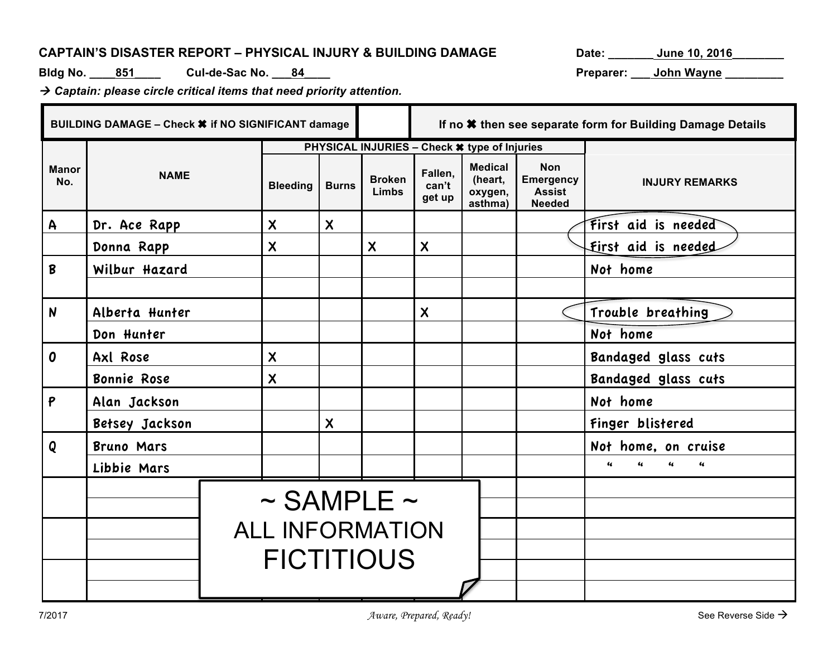## CAPTAIN'S DISASTER REPORT - PHYSICAL INJURY & BUILDING DAMAGE Date: \_\_\_\_\_\_\_\_ June 10, 2016

**Bldg No. \_\_\_\_851\_\_\_\_ Cul-de-Sac No. \_\_\_84\_\_\_\_ Preparer: \_\_\_ John Wayne \_\_\_\_\_\_\_\_\_**

à *Captain: please circle critical items that need priority attention.*

|                     | BUILDING DAMAGE - Check * if NO SIGNIFICANT damage |                 |                                              |                               |                            |                                                 | If no * then see separate form for Building Damage Details       |                       |                            |
|---------------------|----------------------------------------------------|-----------------|----------------------------------------------|-------------------------------|----------------------------|-------------------------------------------------|------------------------------------------------------------------|-----------------------|----------------------------|
|                     |                                                    |                 | PHYSICAL INJURIES - Check * type of Injuries |                               |                            |                                                 |                                                                  |                       |                            |
| <b>Manor</b><br>No. | <b>NAME</b>                                        | <b>Bleeding</b> | <b>Burns</b>                                 | <b>Broken</b><br><b>Limbs</b> | Fallen,<br>can't<br>get up | <b>Medical</b><br>(heart,<br>oxygen,<br>asthma) | <b>Non</b><br><b>Emergency</b><br><b>Assist</b><br><b>Needed</b> | <b>INJURY REMARKS</b> |                            |
| $\mathsf{A}$        | Dr. Ace Rapp                                       |                 | $\boldsymbol{\mathsf{X}}$                    | $\boldsymbol{\mathsf{X}}$     |                            |                                                 |                                                                  |                       | First aid is needed        |
|                     | Donna Rapp                                         |                 | $\boldsymbol{\mathsf{X}}$                    |                               | $\boldsymbol{\mathsf{X}}$  | $\boldsymbol{\mathsf{X}}$                       |                                                                  |                       | <b>First aid is needed</b> |
| B                   | Wilbur Hazard                                      |                 |                                              |                               |                            |                                                 |                                                                  |                       | Not home                   |
|                     |                                                    |                 |                                              |                               |                            |                                                 |                                                                  |                       |                            |
| $\mathsf{N}$        | Alberta Hunter                                     |                 |                                              |                               |                            | $\boldsymbol{\mathsf{X}}$                       |                                                                  |                       | Trouble breathing          |
|                     | Don Hunter                                         |                 |                                              |                               |                            |                                                 |                                                                  |                       | Not home                   |
| 0                   | Axl Rose                                           |                 | $\boldsymbol{\mathsf{X}}$                    |                               |                            |                                                 |                                                                  |                       | Bandaged glass cuts        |
|                     | Bonnie Rose                                        |                 | $\boldsymbol{\mathsf{X}}$                    |                               |                            |                                                 |                                                                  |                       | Bandaged glass cuts        |
| P                   | Alan Jackson                                       |                 |                                              |                               |                            |                                                 |                                                                  |                       | Not home                   |
|                     | Betsey Jackson                                     |                 | $\boldsymbol{\mathsf{X}}$                    |                               |                            |                                                 |                                                                  | Finger blistered      |                            |
| Q                   | <b>Bruno Mars</b>                                  |                 |                                              |                               |                            |                                                 |                                                                  |                       | Not home, on cruise        |
|                     | Libbie Mars                                        |                 |                                              |                               |                            |                                                 |                                                                  |                       | $\epsilon$<br>$\epsilon$   |
|                     |                                                    |                 |                                              |                               | $\sim$ SAMPLE $\sim$       |                                                 |                                                                  |                       |                            |
|                     |                                                    |                 |                                              |                               | <b>ALL INFORMATION</b>     |                                                 |                                                                  |                       |                            |
|                     |                                                    |                 |                                              |                               |                            |                                                 |                                                                  |                       |                            |
|                     | <b>FICTITIOUS</b>                                  |                 |                                              |                               |                            |                                                 |                                                                  |                       |                            |
|                     |                                                    |                 |                                              |                               |                            |                                                 |                                                                  |                       |                            |